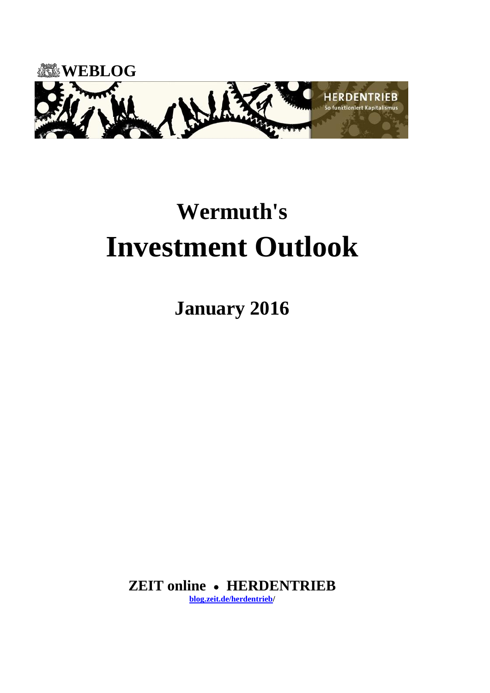

# **Wermuth's Investment Outlook**

**January 2016**

**ZEIT online HERDENTRIEB [blog.zeit.de/herdentrieb/](http://blog.zeit.de/herdentrieb/)**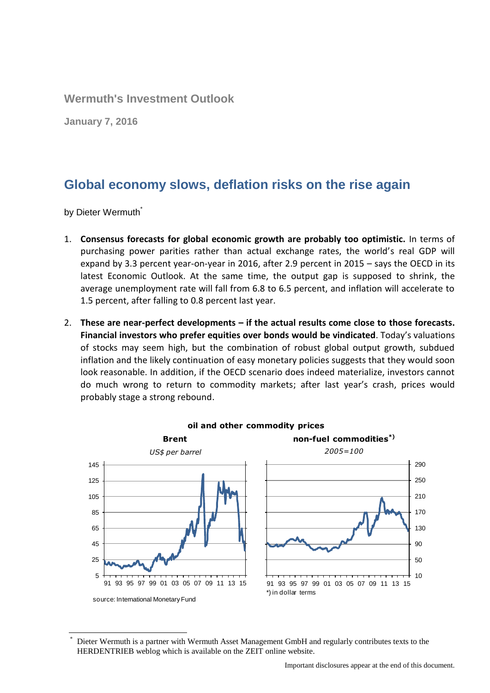**Wermuth's Investment Outlook**

**January 7, 2016**

# **Global economy slows, deflation risks on the rise again**

by Dieter Wermuth<sup>\*</sup>

- 1. **Consensus forecasts for global economic growth are probably too optimistic.** In terms of purchasing power parities rather than actual exchange rates, the world's real GDP will expand by 3.3 percent year-on-year in 2016, after 2.9 percent in 2015 – says the OECD in its latest Economic Outlook. At the same time, the output gap is supposed to shrink, the average unemployment rate will fall from 6.8 to 6.5 percent, and inflation will accelerate to 1.5 percent, after falling to 0.8 percent last year.
- 2. **These are near-perfect developments – if the actual results come close to those forecasts. Financial investors who prefer equities over bonds would be vindicated**. Today's valuations of stocks may seem high, but the combination of robust global output growth, subdued inflation and the likely continuation of easy monetary policies suggests that they would soon look reasonable. In addition, if the OECD scenario does indeed materialize, investors cannot do much wrong to return to commodity markets; after last year's crash, prices would probably stage a strong rebound.



Dieter Wermuth is a partner with Wermuth Asset Management GmbH and regularly contributes texts to the HERDENTRIEB weblog which is available on the ZEIT online website.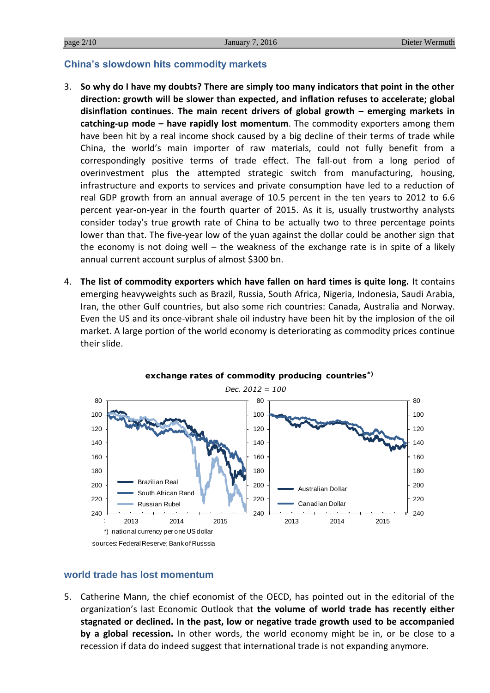#### **China's slowdown hits commodity markets**

- 3. **So why do I have my doubts? There are simply too many indicators that point in the other direction: growth will be slower than expected, and inflation refuses to accelerate; global disinflation continues. The main recent drivers of global growth – emerging markets in catching-up mode – have rapidly lost momentum**. The commodity exporters among them have been hit by a real income shock caused by a big decline of their terms of trade while China, the world's main importer of raw materials, could not fully benefit from a correspondingly positive terms of trade effect. The fall-out from a long period of overinvestment plus the attempted strategic switch from manufacturing, housing, infrastructure and exports to services and private consumption have led to a reduction of real GDP growth from an annual average of 10.5 percent in the ten years to 2012 to 6.6 percent year-on-year in the fourth quarter of 2015. As it is, usually trustworthy analysts consider today's true growth rate of China to be actually two to three percentage points lower than that. The five-year low of the yuan against the dollar could be another sign that the economy is not doing well  $-$  the weakness of the exchange rate is in spite of a likely annual current account surplus of almost \$300 bn.
- 4. **The list of commodity exporters which have fallen on hard times is quite long.** It contains emerging heavyweights such as Brazil, Russia, South Africa, Nigeria, Indonesia, Saudi Arabia, Iran, the other Gulf countries, but also some rich countries: Canada, Australia and Norway. Even the US and its once-vibrant shale oil industry have been hit by the implosion of the oil market. A large portion of the world economy is deteriorating as commodity prices continue their slide.



# **exchange rates of commodity producing countries\*)**

#### **world trade has lost momentum**

5. Catherine Mann, the chief economist of the OECD, has pointed out in the editorial of the organization's last Economic Outlook that **the volume of world trade has recently either stagnated or declined. In the past, low or negative trade growth used to be accompanied by a global recession.** In other words, the world economy might be in, or be close to a recession if data do indeed suggest that international trade is not expanding anymore.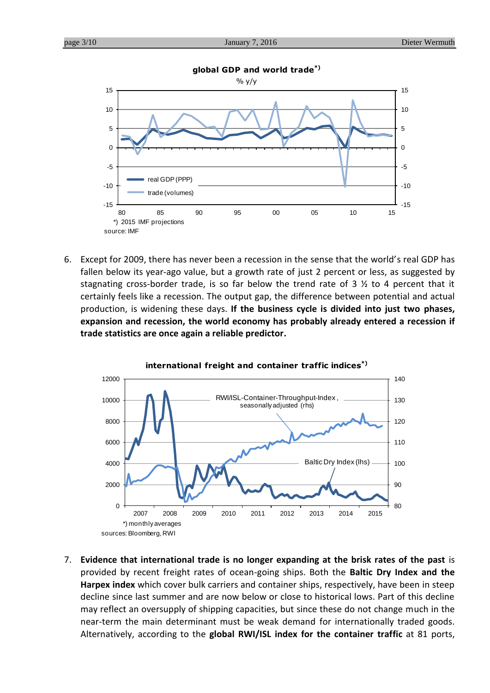

6. Except for 2009, there has never been a recession in the sense that the world's real GDP has fallen below its year-ago value, but a growth rate of just 2 percent or less, as suggested by stagnating cross-border trade, is so far below the trend rate of 3  $\frac{1}{2}$  to 4 percent that it certainly feels like a recession. The output gap, the difference between potential and actual production, is widening these days. **If the business cycle is divided into just two phases, expansion and recession, the world economy has probably already entered a recession if trade statistics are once again a reliable predictor.**



7. **Evidence that international trade is no longer expanding at the brisk rates of the past** is provided by recent freight rates of ocean-going ships. Both the **Baltic Dry Index and the Harpex index** which cover bulk carriers and container ships, respectively, have been in steep decline since last summer and are now below or close to historical lows. Part of this decline may reflect an oversupply of shipping capacities, but since these do not change much in the near-term the main determinant must be weak demand for internationally traded goods. Alternatively, according to the **global RWI/ISL index for the container traffic** at 81 ports,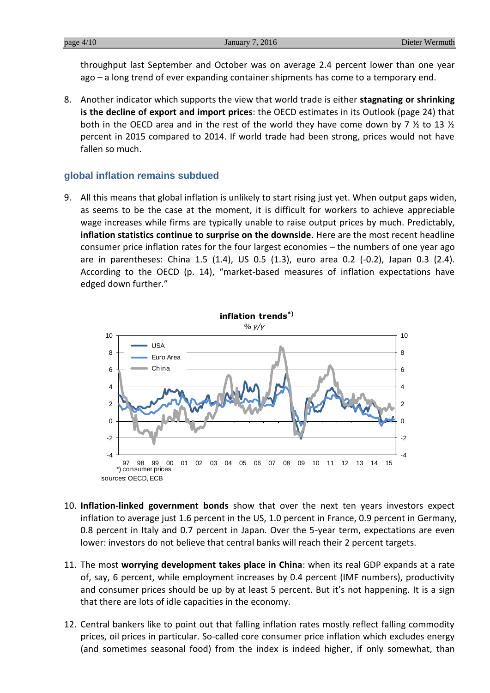throughput last September and October was on average 2.4 percent lower than one year ago – a long trend of ever expanding container shipments has come to a temporary end.

8. Another indicator which supports the view that world trade is either **stagnating or shrinking is the decline of export and import prices**: the OECD estimates in its Outlook (page 24) that both in the OECD area and in the rest of the world they have come down by 7  $\frac{1}{2}$  to 13  $\frac{1}{2}$ percent in 2015 compared to 2014. If world trade had been strong, prices would not have fallen so much.

#### **global inflation remains subdued**

9. All this means that global inflation is unlikely to start rising just yet. When output gaps widen, as seems to be the case at the moment, it is difficult for workers to achieve appreciable wage increases while firms are typically unable to raise output prices by much. Predictably, **inflation statistics continue to surprise on the downside**. Here are the most recent headline consumer price inflation rates for the four largest economies – the numbers of one year ago are in parentheses: China 1.5 (1.4), US 0.5 (1.3), euro area 0.2 (-0.2), Japan 0.3 (2.4). According to the OECD (p. 14), "market-based measures of inflation expectations have edged down further."



- 10. **Inflation-linked government bonds** show that over the next ten years investors expect inflation to average just 1.6 percent in the US, 1.0 percent in France, 0.9 percent in Germany, 0.8 percent in Italy and 0.7 percent in Japan. Over the 5-year term, expectations are even lower: investors do not believe that central banks will reach their 2 percent targets.
- 11. The most **worrying development takes place in China**: when its real GDP expands at a rate of, say, 6 percent, while employment increases by 0.4 percent (IMF numbers), productivity and consumer prices should be up by at least 5 percent. But it's not happening. It is a sign that there are lots of idle capacities in the economy.
- 12. Central bankers like to point out that falling inflation rates mostly reflect falling commodity prices, oil prices in particular. So-called core consumer price inflation which excludes energy (and sometimes seasonal food) from the index is indeed higher, if only somewhat, than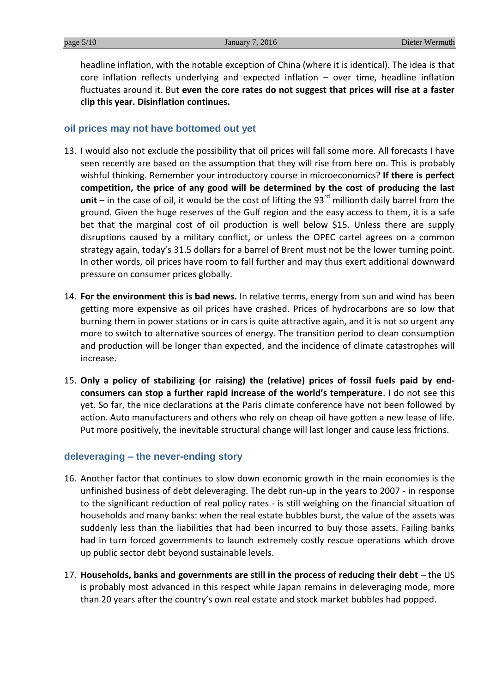headline inflation, with the notable exception of China (where it is identical). The idea is that core inflation reflects underlying and expected inflation – over time, headline inflation fluctuates around it. But **even the core rates do not suggest that prices will rise at a faster clip this year. Disinflation continues.**

#### **oil prices may not have bottomed out yet**

- 13. I would also not exclude the possibility that oil prices will fall some more. All forecasts I have seen recently are based on the assumption that they will rise from here on. This is probably wishful thinking. Remember your introductory course in microeconomics? **If there is perfect competition, the price of any good will be determined by the cost of producing the last unit** – in the case of oil, it would be the cost of lifting the 93 $^{rd}$  millionth daily barrel from the ground. Given the huge reserves of the Gulf region and the easy access to them, it is a safe bet that the marginal cost of oil production is well below \$15. Unless there are supply disruptions caused by a military conflict, or unless the OPEC cartel agrees on a common strategy again, today's 31.5 dollars for a barrel of Brent must not be the lower turning point. In other words, oil prices have room to fall further and may thus exert additional downward pressure on consumer prices globally.
- 14. **For the environment this is bad news.** In relative terms, energy from sun and wind has been getting more expensive as oil prices have crashed. Prices of hydrocarbons are so low that burning them in power stations or in cars is quite attractive again, and it is not so urgent any more to switch to alternative sources of energy. The transition period to clean consumption and production will be longer than expected, and the incidence of climate catastrophes will increase.
- 15. **Only a policy of stabilizing (or raising) the (relative) prices of fossil fuels paid by endconsumers can stop a further rapid increase of the world's temperature**. I do not see this yet. So far, the nice declarations at the Paris climate conference have not been followed by action. Auto manufacturers and others who rely on cheap oil have gotten a new lease of life. Put more positively, the inevitable structural change will last longer and cause less frictions.

# **deleveraging – the never-ending story**

- 16. Another factor that continues to slow down economic growth in the main economies is the unfinished business of debt deleveraging. The debt run-up in the years to 2007 - in response to the significant reduction of real policy rates - is still weighing on the financial situation of households and many banks: when the real estate bubbles burst, the value of the assets was suddenly less than the liabilities that had been incurred to buy those assets. Failing banks had in turn forced governments to launch extremely costly rescue operations which drove up public sector debt beyond sustainable levels.
- 17. **Households, banks and governments are still in the process of reducing their debt** the US is probably most advanced in this respect while Japan remains in deleveraging mode, more than 20 years after the country's own real estate and stock market bubbles had popped.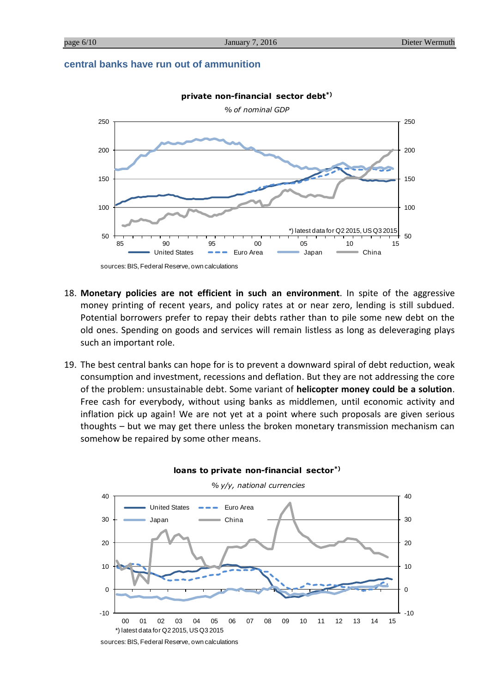#### **central banks have run out of ammunition**



- 18. **Monetary policies are not efficient in such an environment**. In spite of the aggressive money printing of recent years, and policy rates at or near zero, lending is still subdued. Potential borrowers prefer to repay their debts rather than to pile some new debt on the old ones. Spending on goods and services will remain listless as long as deleveraging plays such an important role.
- 19. The best central banks can hope for is to prevent a downward spiral of debt reduction, weak consumption and investment, recessions and deflation. But they are not addressing the core of the problem: unsustainable debt. Some variant of **helicopter money could be a solution**. Free cash for everybody, without using banks as middlemen, until economic activity and inflation pick up again! We are not yet at a point where such proposals are given serious thoughts – but we may get there unless the broken monetary transmission mechanism can somehow be repaired by some other means.



**loans to private non-financial sector\*)**

sources: BIS, Federal Reserve, own calculations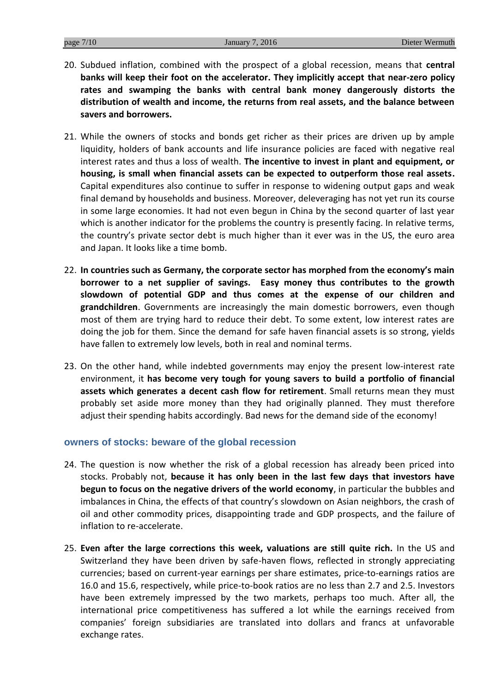- 20. Subdued inflation, combined with the prospect of a global recession, means that **central banks will keep their foot on the accelerator. They implicitly accept that near-zero policy rates and swamping the banks with central bank money dangerously distorts the distribution of wealth and income, the returns from real assets, and the balance between savers and borrowers.**
- 21. While the owners of stocks and bonds get richer as their prices are driven up by ample liquidity, holders of bank accounts and life insurance policies are faced with negative real interest rates and thus a loss of wealth. **The incentive to invest in plant and equipment, or housing, is small when financial assets can be expected to outperform those real assets.** Capital expenditures also continue to suffer in response to widening output gaps and weak final demand by households and business. Moreover, deleveraging has not yet run its course in some large economies. It had not even begun in China by the second quarter of last year which is another indicator for the problems the country is presently facing. In relative terms, the country's private sector debt is much higher than it ever was in the US, the euro area and Japan. It looks like a time bomb.
- 22. **In countries such as Germany, the corporate sector has morphed from the economy's main borrower to a net supplier of savings. Easy money thus contributes to the growth slowdown of potential GDP and thus comes at the expense of our children and grandchildren**. Governments are increasingly the main domestic borrowers, even though most of them are trying hard to reduce their debt. To some extent, low interest rates are doing the job for them. Since the demand for safe haven financial assets is so strong, yields have fallen to extremely low levels, both in real and nominal terms.
- 23. On the other hand, while indebted governments may enjoy the present low-interest rate environment, it **has become very tough for young savers to build a portfolio of financial assets which generates a decent cash flow for retirement**. Small returns mean they must probably set aside more money than they had originally planned. They must therefore adjust their spending habits accordingly. Bad news for the demand side of the economy!

#### **owners of stocks: beware of the global recession**

- 24. The question is now whether the risk of a global recession has already been priced into stocks. Probably not, **because it has only been in the last few days that investors have begun to focus on the negative drivers of the world economy**, in particular the bubbles and imbalances in China, the effects of that country's slowdown on Asian neighbors, the crash of oil and other commodity prices, disappointing trade and GDP prospects, and the failure of inflation to re-accelerate.
- 25. **Even after the large corrections this week, valuations are still quite rich.** In the US and Switzerland they have been driven by safe-haven flows, reflected in strongly appreciating currencies; based on current-year earnings per share estimates, price-to-earnings ratios are 16.0 and 15.6, respectively, while price-to-book ratios are no less than 2.7 and 2.5. Investors have been extremely impressed by the two markets, perhaps too much. After all, the international price competitiveness has suffered a lot while the earnings received from companies' foreign subsidiaries are translated into dollars and francs at unfavorable exchange rates.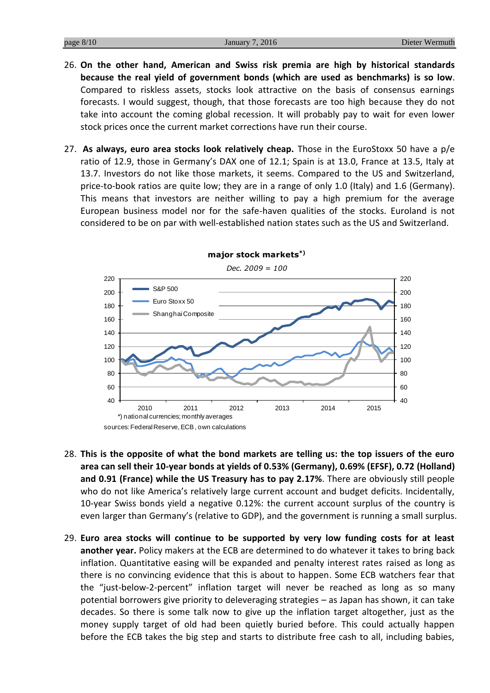- 26. **On the other hand, American and Swiss risk premia are high by historical standards because the real yield of government bonds (which are used as benchmarks) is so low**. Compared to riskless assets, stocks look attractive on the basis of consensus earnings forecasts. I would suggest, though, that those forecasts are too high because they do not take into account the coming global recession. It will probably pay to wait for even lower stock prices once the current market corrections have run their course.
- 27. **As always, euro area stocks look relatively cheap.** Those in the EuroStoxx 50 have a p/e ratio of 12.9, those in Germany's DAX one of 12.1; Spain is at 13.0, France at 13.5, Italy at 13.7. Investors do not like those markets, it seems. Compared to the US and Switzerland, price-to-book ratios are quite low; they are in a range of only 1.0 (Italy) and 1.6 (Germany). This means that investors are neither willing to pay a high premium for the average European business model nor for the safe-haven qualities of the stocks. Euroland is not considered to be on par with well-established nation states such as the US and Switzerland.



- 28. **This is the opposite of what the bond markets are telling us: the top issuers of the euro area can sell their 10-year bonds at yields of 0.53% (Germany), 0.69% (EFSF), 0.72 (Holland) and 0.91 (France) while the US Treasury has to pay 2.17%**. There are obviously still people who do not like America's relatively large current account and budget deficits. Incidentally, 10-year Swiss bonds yield a negative 0.12%: the current account surplus of the country is even larger than Germany's (relative to GDP), and the government is running a small surplus.
- 29. **Euro area stocks will continue to be supported by very low funding costs for at least another year.** Policy makers at the ECB are determined to do whatever it takes to bring back inflation. Quantitative easing will be expanded and penalty interest rates raised as long as there is no convincing evidence that this is about to happen. Some ECB watchers fear that the "just-below-2-percent" inflation target will never be reached as long as so many potential borrowers give priority to deleveraging strategies – as Japan has shown, it can take decades. So there is some talk now to give up the inflation target altogether, just as the money supply target of old had been quietly buried before. This could actually happen before the ECB takes the big step and starts to distribute free cash to all, including babies,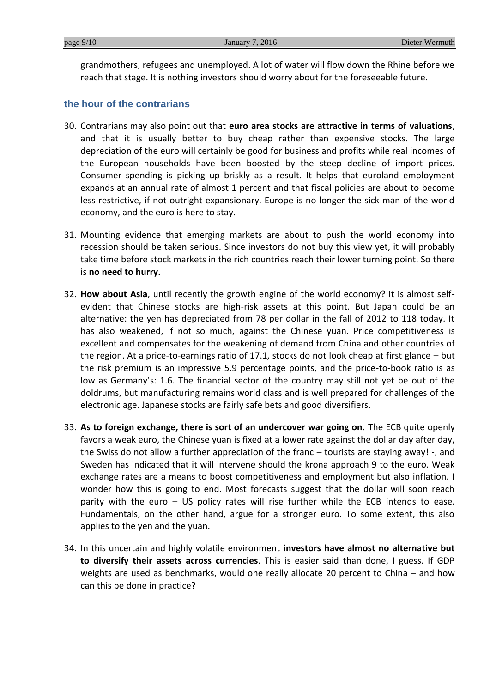grandmothers, refugees and unemployed. A lot of water will flow down the Rhine before we reach that stage. It is nothing investors should worry about for the foreseeable future.

### **the hour of the contrarians**

- 30. Contrarians may also point out that **euro area stocks are attractive in terms of valuations**, and that it is usually better to buy cheap rather than expensive stocks. The large depreciation of the euro will certainly be good for business and profits while real incomes of the European households have been boosted by the steep decline of import prices. Consumer spending is picking up briskly as a result. It helps that euroland employment expands at an annual rate of almost 1 percent and that fiscal policies are about to become less restrictive, if not outright expansionary. Europe is no longer the sick man of the world economy, and the euro is here to stay.
- 31. Mounting evidence that emerging markets are about to push the world economy into recession should be taken serious. Since investors do not buy this view yet, it will probably take time before stock markets in the rich countries reach their lower turning point. So there is **no need to hurry.**
- 32. **How about Asia**, until recently the growth engine of the world economy? It is almost selfevident that Chinese stocks are high-risk assets at this point. But Japan could be an alternative: the yen has depreciated from 78 per dollar in the fall of 2012 to 118 today. It has also weakened, if not so much, against the Chinese yuan. Price competitiveness is excellent and compensates for the weakening of demand from China and other countries of the region. At a price-to-earnings ratio of 17.1, stocks do not look cheap at first glance – but the risk premium is an impressive 5.9 percentage points, and the price-to-book ratio is as low as Germany's: 1.6. The financial sector of the country may still not yet be out of the doldrums, but manufacturing remains world class and is well prepared for challenges of the electronic age. Japanese stocks are fairly safe bets and good diversifiers.
- 33. **As to foreign exchange, there is sort of an undercover war going on.** The ECB quite openly favors a weak euro, the Chinese yuan is fixed at a lower rate against the dollar day after day, the Swiss do not allow a further appreciation of the franc – tourists are staying away! -, and Sweden has indicated that it will intervene should the krona approach 9 to the euro. Weak exchange rates are a means to boost competitiveness and employment but also inflation. I wonder how this is going to end. Most forecasts suggest that the dollar will soon reach parity with the euro – US policy rates will rise further while the ECB intends to ease. Fundamentals, on the other hand, argue for a stronger euro. To some extent, this also applies to the yen and the yuan.
- 34. In this uncertain and highly volatile environment **investors have almost no alternative but to diversify their assets across currencies**. This is easier said than done, I guess. If GDP weights are used as benchmarks, would one really allocate 20 percent to China – and how can this be done in practice?